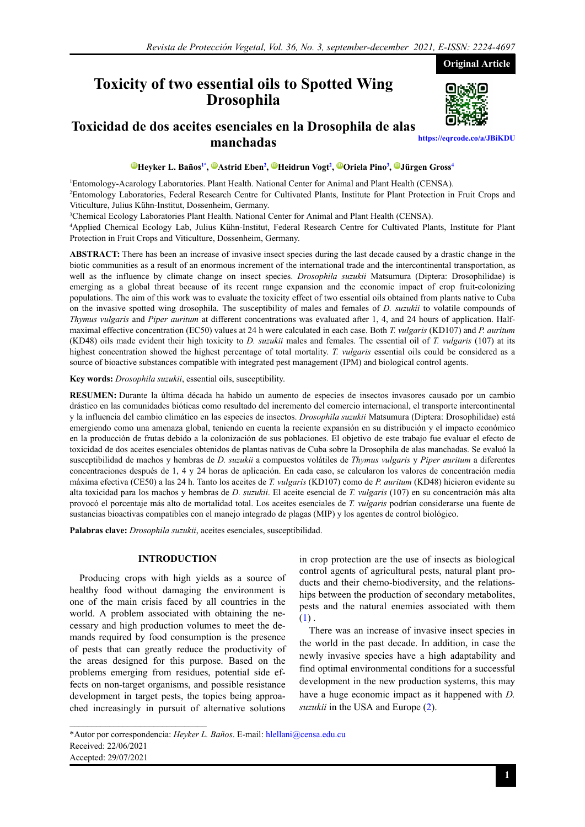# **Toxicity of two essential oils to Spotted Wing Drosophila**

# **Toxicidad de dos aceites esenciales en la Drosophila de alas manchadas**



 **Original Article**

**<https://eqrcode.co/a/JBiKDU>**

## <sup>D</sup>Heyker L. Baños<sup>1\*</sup>, <sup>D</sup>Astrid Eben<sup>2</sup>, <sup>D</sup>Heidrun Vogt<sup>2</sup>, <sup>D</sup>Oriela Pino<sup>3</sup>, DJürgen Gross<sup>4</sup>

<sup>1</sup>Entomology-Acarology Laboratories. Plant Health. National Center for Animal and Plant Health (CENSA). <sup>2</sup>Entomology Laboratories, Federal Research Centre for Cultivated Plants, Institute for Plant Protection in Fruit Crops and Viticulture, Julius Kühn-Institut, Dossenheim, Germany.

<sup>3</sup>Chemical Ecology Laboratories Plant Health. National Center for Animal and Plant Health (CENSA).

<sup>4</sup>Applied Chemical Ecology Lab, Julius Kühn-Institut, Federal Research Centre for Cultivated Plants, Institute for Plant Protection in Fruit Crops and Viticulture, Dossenheim, Germany.

ABSTRACT: There has been an increase of invasive insect species during the last decade caused by a drastic change in the biotic communities as a result of an enormous increment of the international trade and the intercontinental transportation, as well as the influence by climate change on insect species. *Drosophila suzukii* Matsumura (Diptera: Drosophilidae) is emerging as a global threat because of its recent range expansion and the economic impact of crop fruit-colonizing populations. The aim of this work was to evaluate the toxicity effect of two essential oils obtained from plants native to Cuba on the invasive spotted wing drosophila. The susceptibility of males and females of *D. suzukii* to volatile compounds of *Thymus vulgaris* and *Piper auritum* at different concentrations was evaluated after 1, 4, and 24 hours of application. Halfmaximal effective concentration (EC50) values at 24 h were calculated in each case. Both *T. vulgaris* (KD107) and *P. auritum* (KD48) oils made evident their high toxicity to *D. suzukii* males and females. The essential oil of *T. vulgaris* (107) at its highest concentration showed the highest percentage of total mortality. *T. vulgaris* essential oils could be considered as a source of bioactive substances compatible with integrated pest management (IPM) and biological control agents.

*Drosophila suzukii*, essential oils, susceptibility. **Key words:** 

RESUMEN: Durante la última década ha habido un aumento de especies de insectos invasores causado por un cambio drástico en las comunidades bióticas como resultado del incremento del comercio internacional, el transporte intercontinental y la influencia del cambio climático en las especies de insectos. *Drosophila suzukii* Matsumura (Diptera: Drosophilidae) está emergiendo como una amenaza global, teniendo en cuenta la reciente expansión en su distribución y el impacto económico en la producción de frutas debido a la colonización de sus poblaciones. El objetivo de este trabajo fue evaluar el efecto de toxicidad de dos aceites esenciales obtenidos de plantas nativas de Cuba sobre la Drosophila de alas manchadas. Se evaluó la susceptibilidad de machos y hembras de *D. suzukii* a compuestos volátiles de *Thymus vulgaris* y *Piper auritum* a diferentes concentraciones después de 1, 4 y 24 horas de aplicación. En cada caso, se calcularon los valores de concentración media máxima efectiva (CE50) a las 24 h. Tanto los aceites de *T. vulgaris* (KD107) como de *P. auritum* (KD48) hicieron evidente su alta toxicidad para los machos y hembras de *D. suzukii*. El aceite esencial de *T. vulgaris* (107) en su concentración más alta provocó el porcentaje más alto de mortalidad total. Los aceites esenciales de *T. vulgaris* podrían considerarse una fuente de sustancias bioactivas compatibles con el manejo integrado de plagas (MIP) y los agentes de control biológico.

Palabras clave: *Drosophila suzukii*, aceites esenciales, susceptibilidad.

## **INTRODUCTION**

Producing crops with high yields as a source of healthy food without damaging the environment is one of the main crisis faced by all countries in the world. A problem associated with obtaining the necessary and high production volumes to meet the de‐ mands required by food consumption is the presence of pests that can greatly reduce the productivity of the areas designed for this purpose. Based on the problems emerging from residues, potential side ef‐ fects on non-target organisms, and possible resistance development in target pests, the topics being approa‐ ched increasingly in pursuit of alternative solutions

in crop protection are the use of insects as biological control agents of agricultural pests, natural plant pro‐ ducts and their chemo-biodiversity, and the relations‐ hips between the production of secondary metabolites, pests and the natural enemies associated with them  $(1)$  $(1)$ .

There was an increase of invasive insect species in the world in the past decade. In addition, in case the newly invasive species have a high adaptability and find optimal environmental conditions for a successful development in the new production systems, this may have a huge economic impact as it happened with *D. suzukii* in the USA and Europe [\(2](#page-4-0)).

\*Autor por correspondencia: *Heyker L. Baños*. E-mail: hlellani@censa.edu.cu Received: 22/06/2021 Accepted: 29/07/2021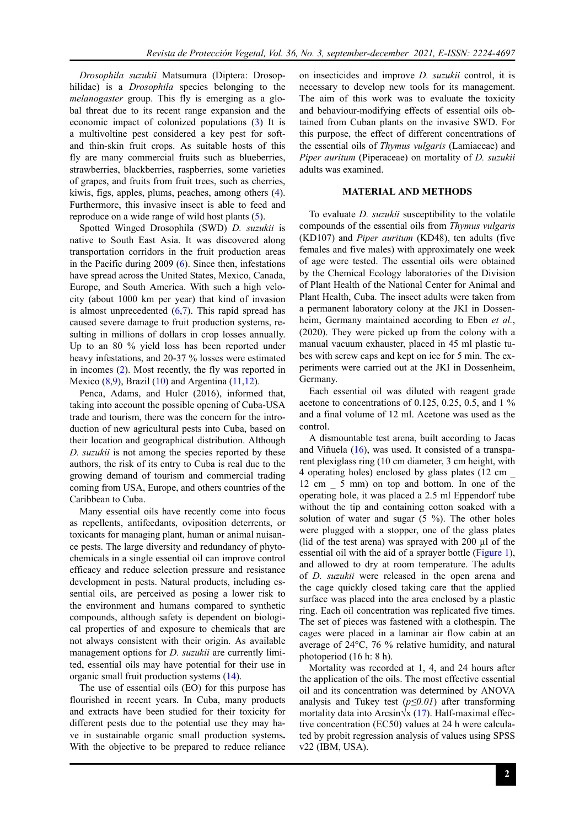*Drosophila suzukii* Matsumura (Diptera: Drosop‐ hilidae) is a *Drosophila* species belonging to the *melanogaster* group. This fly is emerging as a global threat due to its recent range expansion and the economic impact of colonized populations [\(3](#page-4-0)) It is a multivoltine pest considered a key pest for softand thin-skin fruit crops. As suitable hosts of this fly are many commercial fruits such as blueberries, strawberries, blackberries, raspberries, some varieties of grapes, and fruits from fruit trees, such as cherries, kiwis, figs, apples, plums, peaches, among others ([4\)](#page-4-0). Furthermore, this invasive insect is able to feed and reproduce on a wide range of wild host plants [\(5](#page-4-0)).

Spotted Winged Drosophila (SWD) *D. suzukii* is native to South East Asia. It was discovered along transportation corridors in the fruit production areas in the Pacific during 2009 ([6\)](#page-4-0). Since then, infestations have spread across the United States, Mexico, Canada, Europe, and South America. With such a high velocity (about 1000 km per year) that kind of invasion is almost unprecedented  $(6,7)$  $(6,7)$  $(6,7)$ . This rapid spread has caused severe damage to fruit production systems, re‐ sulting in millions of dollars in crop losses annually. Up to an 80 % yield loss has been reported under heavy infestations, and 20-37 % losses were estimated in incomes ([2\)](#page-4-0). Most recently, the fly was reported in Mexico  $(8,9)$  $(8,9)$  $(8,9)$ , Brazil  $(10)$  $(10)$  and Argentina  $(11,12)$  $(11,12)$  $(11,12)$  $(11,12)$ .

Penca, Adams, and Hulcr (2016), informed that, taking into account the possible opening of Cuba-USA trade and tourism, there was the concern for the introduction of new agricultural pests into Cuba, based on their location and geographical distribution. Although *D. suzukii* is not among the species reported by these authors, the risk of its entry to Cuba is real due to the growing demand of tourism and commercial trading coming from USA, Europe, and others countries of the Caribbean to Cuba.

Many essential oils have recently come into focus as repellents, antifeedants, oviposition deterrents, or toxicants for managing plant, human or animal nuisance pests. The large diversity and redundancy of phyto‐ chemicals in a single essential oil can improve control efficacy and reduce selection pressure and resistance development in pests. Natural products, including es‐ sential oils, are perceived as posing a lower risk to the environment and humans compared to synthetic compounds, although safety is dependent on biological properties of and exposure to chemicals that are not always consistent with their origin. As available management options for *D. suzukii* are currently limited, essential oils may have potential for their use in organic small fruit production systems [\(14](#page-5-0)).

The use of essential oils (EO) for this purpose has flourished in recent years. In Cuba, many products and extracts have been studied for their toxicity for different pests due to the potential use they may ha‐ ve in sustainable organic small production systems**.** With the objective to be prepared to reduce reliance on insecticides and improve *D. suzukii* control, it is necessary to develop new tools for its management. The aim of this work was to evaluate the toxicity and behaviour-modifying effects of essential oils ob‐ tained from Cuban plants on the invasive SWD. For this purpose, the effect of different concentrations of the essential oils of *Thymus vulgaris* (Lamiaceae) and *Piper auritum* (Piperaceae) on mortality of *D. suzukii* adults was examined.

#### **MATERIAL AND METHODS**

To evaluate *D. suzukii* susceptibility to the volatile compounds of the essential oils from *Thymus vulgaris* (KD107) and *Piper auritum* (KD48), ten adults (five females and five males) with approximately one week of age were tested. The essential oils were obtained by the Chemical Ecology laboratories of the Division of Plant Health of the National Center for Animal and Plant Health, Cuba. The insect adults were taken from a permanent laboratory colony at the JKI in Dossen‐ heim, Germany maintained according to Eben *et al.*, (2020). They were picked up from the colony with a manual vacuum exhauster, placed in 45 ml plastic tubes with screw caps and kept on ice for 5 min. The experiments were carried out at the JKI in Dossenheim, Germany.

Each essential oil was diluted with reagent grade acetone to concentrations of 0.125, 0.25, 0.5, and 1 % and a final volume of 12 ml. Acetone was used as the control.

A dismountable test arena, built according to Jacas and Viñuela  $(16)$  $(16)$ , was used. It consisted of a transparent plexiglass ring (10 cm diameter, 3 cm height, with 4 operating holes) enclosed by glass plates (12 cm \_ 12 cm \_ 5 mm) on top and bottom. In one of the operating hole, it was placed a 2.5 ml Eppendorf tube without the tip and containing cotton soaked with a solution of water and sugar (5 %). The other holes were plugged with a stopper, one of the glass plates (lid of the test arena) was sprayed with 200 µl of the essential oil with the aid of a sprayer bottle ([Figure 1\)](#page-2-0), and allowed to dry at room temperature. The adults of *D. suzukii* were released in the open arena and the cage quickly closed taking care that the applied surface was placed into the area enclosed by a plastic ring. Each oil concentration was replicated five times. The set of pieces was fastened with a clothespin. The cages were placed in a laminar air flow cabin at an average of 24°C, 76 % relative humidity, and natural photoperiod (16 h: 8 h).

Mortality was recorded at 1, 4, and 24 hours after the application of the oils. The most effective essential oil and its concentration was determined by ANOVA analysis and Tukey test (*p≤0.01*) after transforming mortality data into Arcsin√x  $(17)$  $(17)$ . Half-maximal effective concentration (EC50) values at 24 h were calculated by probit regression analysis of values using SPSS v22 (IBM, USA).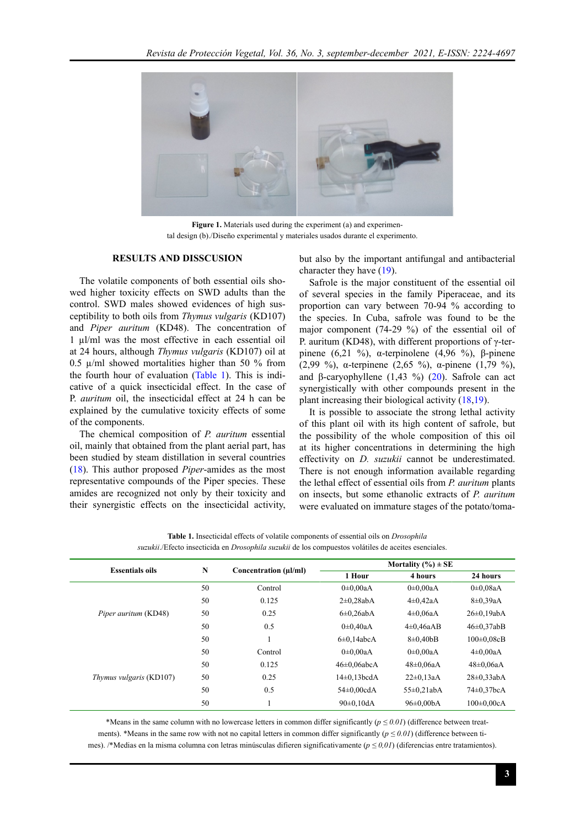<span id="page-2-0"></span>

Figure 1. Materials used during the experiment (a) and experimental design (b)./Diseño experimental y materiales usados durante el experimento.

#### **RESULTS AND DISSCUSION**

The volatile components of both essential oils showed higher toxicity effects on SWD adults than the control. SWD males showed evidences of high susceptibility to both oils from *Thymus vulgaris* (KD107) and *Piper auritum* (KD48). The concentration of 1 µl/ml was the most effective in each essential oil at 24 hours, although *Thymus vulgaris* (KD107) oil at 0.5  $\mu$ /ml showed mortalities higher than 50 % from the fourth hour of evaluation (Table 1). This is indi‐ cative of a quick insecticidal effect. In the case of P. *auritum* oil, the insecticidal effect at 24 h can be explained by the cumulative toxicity effects of some of the components.

The chemical composition of *P. auritum* essential oil, mainly that obtained from the plant aerial part, has been studied by steam distillation in several countries [\(18](#page-5-0)). This author proposed *Piper*-amides as the most representative compounds of the Piper species. These amides are recognized not only by their toxicity and their synergistic effects on the insecticidal activity, but also by the important antifungal and antibacterial character they have [\(19](#page-5-0)).

Safrole is the major constituent of the essential oil of several species in the family Piperaceae, and its proportion can vary between 70-94 % according to the species. In Cuba, safrole was found to be the major component (74-29 %) of the essential oil of P. auritum (KD48), with different proportions of γ-ter‐ pinene (6,21 %), α-terpinolene (4,96 %), β-pinene (2,99 %), α-terpinene (2,65 %), α-pinene (1,79 %), and β-caryophyllene  $(1,43, 9)$   $(20)$  $(20)$ . Safrole can act synergistically with other compounds present in the plant increasing their biological activity ([18,19](#page-5-0)).

It is possible to associate the strong lethal activity of this plant oil with its high content of safrole, but the possibility of the whole composition of this oil at its higher concentrations in determining the high effectivity on *D. suzukii* cannot be underestimated. There is not enough information available regarding the lethal effect of essential oils from *P. auritum* plants on insects, but some ethanolic extracts of *P. auritum* were evaluated on immature stages of the potato/toma-

**Table 1.** Insecticidal effects of volatile components of essential oils on *Drosophila suzukii*./Efecto insecticida en *Drosophila suzukii* de los compuestos volátiles de aceites esenciales.

| <b>Essentials oils</b>  | N  | Concentration (µl/ml) | Mortality $(\% ) \pm SE$ |                  |                   |
|-------------------------|----|-----------------------|--------------------------|------------------|-------------------|
|                         |    |                       | 1 Hour                   | 4 hours          | 24 hours          |
| Piper auritum (KD48)    | 50 | Control               | $0\pm 0.00$ aA           | $0\pm0.00aA$     | $0\pm 0.08$ aA    |
|                         | 50 | 0.125                 | $2\pm0.28abA$            | $4\pm0.42aA$     | $8\pm 0.39$ aA    |
|                         | 50 | 0.25                  | $6\pm0.26$ abA           | $4\pm0.06aA$     | $26 \pm 0.19$ abA |
|                         | 50 | 0.5                   | $0\pm0.40$ aA            | $4\pm0,46aAB$    | $46 \pm 0.37$ abB |
|                         | 50 |                       | $6\pm0.14abcA$           | $8\pm0.40$ bB    | $100 \pm 0.08$ cB |
| Thymus vulgaris (KD107) | 50 | Control               | $0\pm0.00aA$             | $0\pm0.00aA$     | $4\pm0.00aA$      |
|                         | 50 | 0.125                 | $46\pm0.06abcA$          | $48 \pm 0.06a$ A | $48 \pm 0.06$ aA  |
|                         | 50 | 0.25                  | $14\pm0.13$ bcdA         | $22 \pm 0.13$ aA | $28 \pm 0.33$ abA |
|                         | 50 | 0.5                   | $54\pm0.00cdA$           | $55\pm0.21$ abA  | $74 \pm 0.37$ bcA |
|                         | 50 |                       | $90 \pm 0.10$ dA         | $96 \pm 0.00$ bA | $100 \pm 0.00cA$  |

\*Means in the same column with no lowercase letters in common differ significantly (*p ≤ 0.01*) (difference between treat‐ ments). \*Means in the same row with not no capital letters in common differ significantly  $(p \le 0.01)$  (difference between times). /\*Medias en la misma columna con letras minúsculas difieren significativamente (*p ≤ 0,01*) (diferencias entre tratamientos).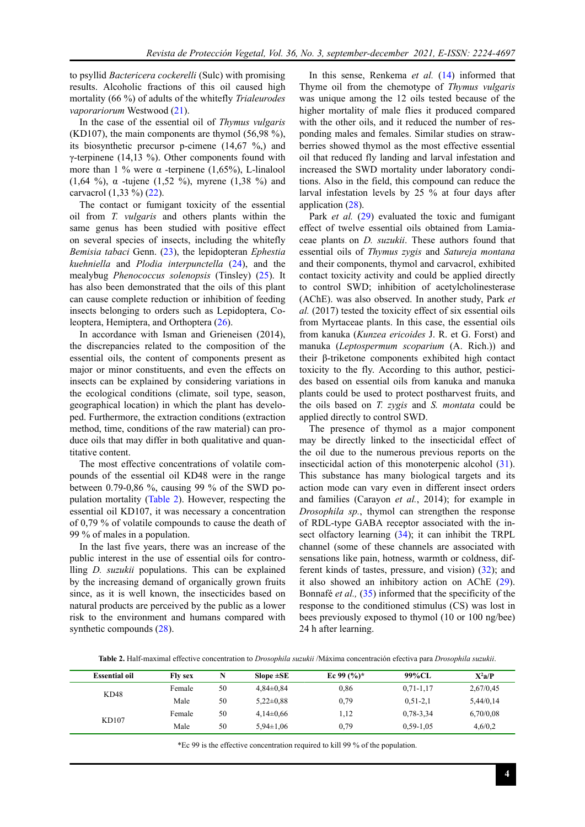to psyllid *Bactericera cockerelli* (Sulc) with promising results. Alcoholic fractions of this oil caused high mortality (66 %) of adults of the whitefly *Trialeurodes vaporariorum* Westwood [\(21](#page-5-0)).

In the case of the essential oil of *Thymus vulgaris* (KD107), the main components are thymol (56,98 %), its biosynthetic precursor p-cimene (14,67 %,) and γ-terpinene (14,13 %). Other components found with more than 1 % were  $\alpha$  -terpinene (1,65%), L-linalool (1,64 %),  $\alpha$  -tujene (1,52 %), myrene (1,38 %) and carvacrol (1,33 %) [\(22](#page-5-0)).

The contact or fumigant toxicity of the essential oil from *T. vulgaris* and others plants within the same genus has been studied with positive effect on several species of insects, including the whitefly *Bemisia tabaci* Genn. ([23\)](#page-5-0), the lepidopteran *Ephestia kuehniella* and *Plodia interpunctella* [\(24](#page-5-0)), and the mealybug *Phenococcus solenopsis* (Tinsley) ([25\)](#page-5-0). It has also been demonstrated that the oils of this plant can cause complete reduction or inhibition of feeding insects belonging to orders such as Lepidoptera, Co‐ leoptera, Hemiptera, and Orthoptera [\(26](#page-5-0)).

In accordance with Isman and Grieneisen (2014), the discrepancies related to the composition of the essential oils, the content of components present as major or minor constituents, and even the effects on insects can be explained by considering variations in the ecological conditions (climate, soil type, season, geographical location) in which the plant has develo‐ ped. Furthermore, the extraction conditions (extraction method, time, conditions of the raw material) can pro‐ duce oils that may differ in both qualitative and quantitative content.

The most effective concentrations of volatile com‐ pounds of the essential oil KD48 were in the range between 0.79-0,86 %, causing 99 % of the SWD po‐ pulation mortality (Table 2). However, respecting the essential oil KD107, it was necessary a concentration of 0,79 % of volatile compounds to cause the death of 99 % of males in a population.

In the last five years, there was an increase of the public interest in the use of essential oils for contro‐ lling *D. suzukii* populations. This can be explained by the increasing demand of organically grown fruits since, as it is well known, the insecticides based on natural products are perceived by the public as a lower risk to the environment and humans compared with synthetic compounds  $(28)$  $(28)$ .

In this sense, Renkema *et al.* ([14\)](#page-5-0) informed that Thyme oil from the chemotype of *Thymus vulgaris* was unique among the 12 oils tested because of the higher mortality of male flies it produced compared with the other oils, and it reduced the number of responding males and females. Similar studies on straw‐ berries showed thymol as the most effective essential oil that reduced fly landing and larval infestation and increased the SWD mortality under laboratory conditions. Also in the field, this compound can reduce the larval infestation levels by 25 % at four days after application ([28\)](#page-5-0).

Park *et al.* [\(29](#page-5-0)) evaluated the toxic and fumigant effect of twelve essential oils obtained from Lamia‐ ceae plants on *D. suzukii*. These authors found that essential oils of *Thymus zygis* and *Satureja montana* and their components, thymol and carvacrol, exhibited contact toxicity activity and could be applied directly to control SWD; inhibition of acetylcholinesterase (AChE). was also observed. In another study, Park *et al.* (2017) tested the toxicity effect of six essential oils from Myrtaceae plants. In this case, the essential oils from kanuka (*Kunzea ericoides* J. R. et G. Forst) and manuka (*Leptospermum scoparium* (A. Rich.)) and their β-triketone components exhibited high contact toxicity to the fly. According to this author, pesticides based on essential oils from kanuka and manuka plants could be used to protect postharvest fruits, and the oils based on *T. zygis* and *S. montata* could be applied directly to control SWD.

The presence of thymol as a major component may be directly linked to the insecticidal effect of the oil due to the numerous previous reports on the insecticidal action of this monoterpenic alcohol ([31\)](#page-6-0). This substance has many biological targets and its action mode can vary even in different insect orders and families (Carayon *et al.*, 2014); for example in *Drosophila sp.*, thymol can strengthen the response of RDL-type GABA receptor associated with the in‐ sect olfactory learning  $(34)$  $(34)$ ; it can inhibit the TRPL channel (some of these channels are associated with sensations like pain, hotness, warmth or coldness, dif‐ ferent kinds of tastes, pressure, and vision)  $(32)$  $(32)$ ; and it also showed an inhibitory action on AChE ([29\)](#page-5-0). Bonnafé *et al.,* ([35\)](#page-6-0) informed that the specificity of the response to the conditioned stimulus (CS) was lost in bees previously exposed to thymol (10 or 100 ng/bee) 24 h after learning.

**Table 2.** Half-maximal effective concentration to *Drosophila suzukii* /Máxima concentración efectiva para *Drosophila suzukii*. **Essential oil Fly sex N Slope ±SE Ec 99 (%)\* 99%CL X<sup>2</sup>a/P**

| <b>Essential oil</b> | <b>Fly sex</b> | N  | Slope $\pm$ SE  | Ec 99 $(\%)^*$ | 99%CL         | $X^2a/P$  |
|----------------------|----------------|----|-----------------|----------------|---------------|-----------|
| KD48                 | Female         | 50 | $4.84 \pm 0.84$ | 0,86           | $0.71 - 1.17$ | 2,67/0,45 |
|                      | Male           | 50 | $5.22 \pm 0.88$ | 0.79           | $0.51 - 2.1$  | 5,44/0,14 |
| KD107                | Female         | 50 | $4.14 \pm 0.66$ | 1,12           | 0.78-3.34     | 6,70/0,08 |
|                      | Male           | 50 | $5.94 \pm 1.06$ | 0.79           | $0.59 - 1.05$ | 4,6/0,2   |
|                      |                |    |                 |                |               |           |

\*Ec 99 is the effective concentration required to kill 99 % of the population.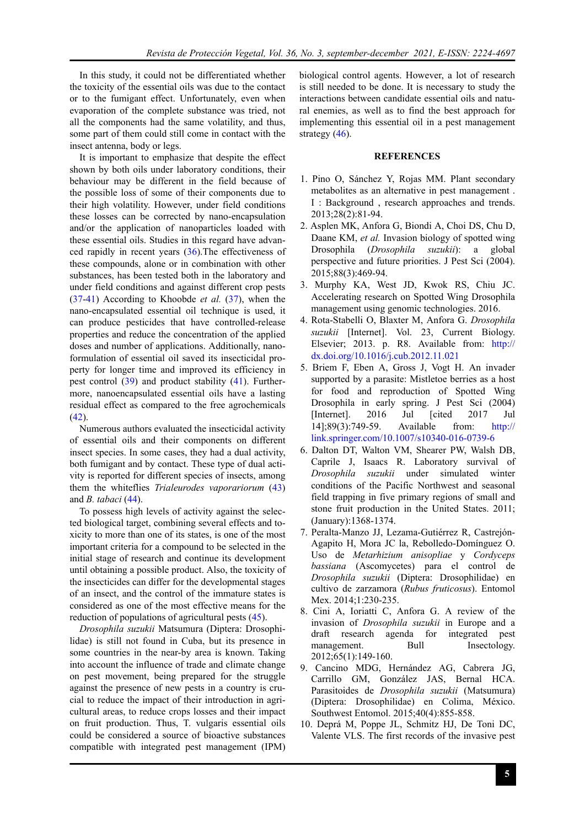<span id="page-4-0"></span>In this study, it could not be differentiated whether the toxicity of the essential oils was due to the contact or to the fumigant effect. Unfortunately, even when evaporation of the complete substance was tried, not all the components had the same volatility, and thus, some part of them could still come in contact with the insect antenna, body or legs.

It is important to emphasize that despite the effect shown by both oils under laboratory conditions, their behaviour may be different in the field because of the possible loss of some of their components due to their high volatility. However, under field conditions these losses can be corrected by nano-encapsulation and/or the application of nanoparticles loaded with these essential oils. Studies in this regard have advan‐ ced rapidly in recent years ([36\)](#page-6-0).The effectiveness of these compounds, alone or in combination with other substances, has been tested both in the laboratory and under field conditions and against different crop pests [\(37](#page-6-0)-[41\)](#page-6-0) According to Khoobde *et al.* ([37\)](#page-6-0), when the nano-encapsulated essential oil technique is used, it can produce pesticides that have controlled-release properties and reduce the concentration of the applied doses and number of applications. Additionally, nano‐ formulation of essential oil saved its insecticidal pro‐ perty for longer time and improved its efficiency in pest control  $(39)$  $(39)$  and product stability  $(41)$  $(41)$ . Furthermore, nanoencapsulated essential oils have a lasting residual effect as compared to the free agrochemicals [\(42](#page-6-0)).

Numerous authors evaluated the insecticidal activity of essential oils and their components on different insect species. In some cases, they had a dual activity, both fumigant and by contact. These type of dual activity is reported for different species of insects, among them the whiteflies *Trialeurodes vaporariorum* [\(43](#page-6-0)) and *B. tabaci* ([44\)](#page-6-0).

To possess high levels of activity against the selec‐ ted biological target, combining several effects and to‐ xicity to more than one of its states, is one of the most important criteria for a compound to be selected in the initial stage of research and continue its development until obtaining a possible product. Also, the toxicity of the insecticides can differ for the developmental stages of an insect, and the control of the immature states is considered as one of the most effective means for the reduction of populations of agricultural pests [\(45](#page-6-0)).

*Drosophila suzukii* Matsumura (Diptera: Drosophi‐ lidae) is still not found in Cuba, but its presence in some countries in the near-by area is known. Taking into account the influence of trade and climate change on pest movement, being prepared for the struggle against the presence of new pests in a country is crucial to reduce the impact of their introduction in agri‐ cultural areas, to reduce crops losses and their impact on fruit production. Thus, T. vulgaris essential oils could be considered a source of bioactive substances compatible with integrated pest management (IPM) biological control agents. However, a lot of research is still needed to be done. It is necessary to study the interactions between candidate essential oils and natural enemies, as well as to find the best approach for implementing this essential oil in a pest management strategy  $(46)$  $(46)$ .

#### **REFERENCES**

- 1. Pino O, Sánchez Y, Rojas MM. Plant secondary metabolites as an alternative in pest management . I : Background , research approaches and trends. 2013;28(2):81-94.
- 2. Asplen MK, Anfora G, Biondi A, Choi DS, Chu D, Daane KM, *et al.* Invasion biology of spotted wing Drosophila (*Drosophila suzukii*): a global perspective and future priorities. J Pest Sci (2004). 2015;88(3):469-94.
- 3. Murphy KA, West JD, Kwok RS, Chiu JC. Accelerating research on Spotted Wing Drosophila management using genomic technologies. 2016.
- 4. Rota-Stabelli O, Blaxter M, Anfora G. *Drosophila suzukii* [Internet]. Vol. 23, Current Biology. Elsevier; 2013. p. R8. Available from: [http://](http://dx.doi.org/10.1016/j.cub.2012.11.021) [dx.doi.org/10.1016/j.cub.2012.11.021](http://dx.doi.org/10.1016/j.cub.2012.11.021)
- 5. Briem F, Eben A, Gross J, Vogt H. An invader supported by a parasite: Mistletoe berries as a host for food and reproduction of Spotted Wing Drosophila in early spring. J Pest Sci (2004) [Internet]. 2016 Jul [cited 2017 Jul 14];89(3):749-59. Available from: [http://](http://link.springer.com/10.1007/s10340-016-0739-6) [link.springer.com/10.1007/s10340-016-0739-6](http://link.springer.com/10.1007/s10340-016-0739-6)
- 6. Dalton DT, Walton VM, Shearer PW, Walsh DB, Caprile J, Isaacs R. Laboratory survival of *Drosophila suzukii* under simulated winter conditions of the Pacific Northwest and seasonal field trapping in five primary regions of small and stone fruit production in the United States. 2011; (January):1368-1374.
- 7. Peralta-Manzo JJ, Lezama-Gutiérrez R, Castrejón-Agapito H, Mora JC la, Rebolledo-Domínguez O. Uso de *Metarhizium anisopliae* y *Cordyceps bassiana* (Ascomycetes) para el control de *Drosophila suzukii* (Diptera: Drosophilidae) en cultivo de zarzamora (*Rubus fruticosus*). Entomol Mex. 2014;1:230-235.
- 8. Cini A, Ioriatti C, Anfora G. A review of the invasion of *Drosophila suzukii* in Europe and a draft research agenda for integrated pest management. Bull Insectology. 2012;65(1):149-160.
- 9. Cancino MDG, Hernández AG, Cabrera JG, Carrillo GM, González JAS, Bernal HCA. Parasitoides de *Drosophila suzukii* (Matsumura) (Diptera: Drosophilidae) en Colima, México. Southwest Entomol. 2015;40(4):855-858.
- 10. Deprá M, Poppe JL, Schmitz HJ, De Toni DC, Valente VLS. The first records of the invasive pest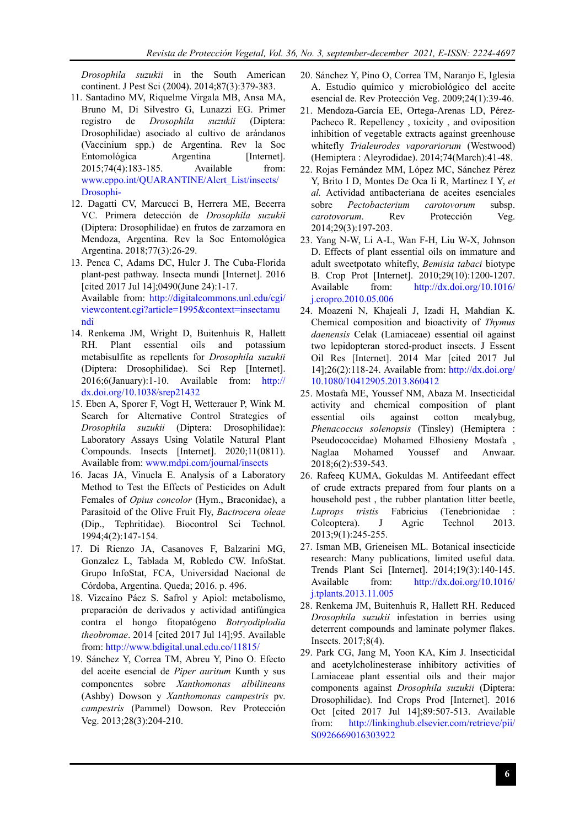<span id="page-5-0"></span>*Drosophila suzukii* in the South American continent. J Pest Sci (2004). 2014;87(3):379-383.

- 11. Santadino MV, Riquelme Virgala MB, Ansa MA, Bruno M, Di Silvestro G, Lunazzi EG. Primer registro de *Drosophila suzukii* (Diptera: Drosophilidae) asociado al cultivo de arándanos (Vaccinium spp.) de Argentina. Rev la Soc Entomológica Argentina [Internet]. 2015;74(4):183-185. Available from: [www.eppo.int/QUARANTINE/Alert\\_List/insects/](http://www.eppo.int/QUARANTINE/Alert_List/insects/Drosophi-) [Drosophi-](http://www.eppo.int/QUARANTINE/Alert_List/insects/Drosophi-)
- 12. Dagatti CV, Marcucci B, Herrera ME, Becerra VC. Primera detección de *Drosophila suzukii* (Diptera: Drosophilidae) en frutos de zarzamora en Mendoza, Argentina. Rev la Soc Entomológica Argentina. 2018;77(3):26-29.
- 13. Penca C, Adams DC, Hulcr J. The Cuba-Florida plant-pest pathway. Insecta mundi [Internet]. 2016 [cited 2017 Jul 14];0490(June 24):1-17. Available from: [http://digitalcommons.unl.edu/cgi/](http://digitalcommons.unl.edu/cgi/viewcontent.cgi?article=1995&context=insectamundi) [viewcontent.cgi?article=1995&context=insectamu](http://digitalcommons.unl.edu/cgi/viewcontent.cgi?article=1995&context=insectamundi) [ndi](http://digitalcommons.unl.edu/cgi/viewcontent.cgi?article=1995&context=insectamundi)
- 14. Renkema JM, Wright D, Buitenhuis R, Hallett RH. Plant essential oils and potassium metabisulfite as repellents for *Drosophila suzukii* (Diptera: Drosophilidae). Sci Rep [Internet]. 2016;6(January):1-10. Available from: [http://](http://dx.doi.org/10.1038/srep21432) [dx.doi.org/10.1038/srep21432](http://dx.doi.org/10.1038/srep21432)
- 15. Eben A, Sporer F, Vogt H, Wetterauer P, Wink M. Search for Alternative Control Strategies of *Drosophila suzukii* (Diptera: Drosophilidae): Laboratory Assays Using Volatile Natural Plant Compounds. Insects [Internet]. 2020;11(0811). Available from: [www.mdpi.com/journal/insects](http://www.mdpi.com/journal/insects)
- 16. Jacas JA, Vinuela E. Analysis of a Laboratory Method to Test the Effects of Pesticides on Adult Females of *Opius concolor* (Hym., Braconidae), a Parasitoid of the Olive Fruit Fly, *Bactrocera oleae* (Dip., Tephritidae). Biocontrol Sci Technol. 1994;4(2):147-154.
- 17. Di Rienzo JA, Casanoves F, Balzarini MG, Gonzalez L, Tablada M, Robledo CW. InfoStat. Grupo InfoStat, FCA, Universidad Nacional de Córdoba, Argentina. Queda; 2016. p. 496.
- 18. Vizcaíno Páez S. Safrol y Apiol: metabolismo, preparación de derivados y actividad antifúngica contra el hongo fitopatógeno *Botryodiplodia theobromae*. 2014 [cited 2017 Jul 14];95. Available from: <http://www.bdigital.unal.edu.co/11815/>
- 19. Sánchez Y, Correa TM, Abreu Y, Pino O. Efecto del aceite esencial de *Piper auritum* Kunth y sus componentes sobre *Xanthomonas albilineans* (Ashby) Dowson y *Xanthomonas campestris* pv. *campestris* (Pammel) Dowson. Rev Protección Veg. 2013;28(3):204-210.
- 20. Sánchez Y, Pino O, Correa TM, Naranjo E, Iglesia A. Estudio químico y microbiológico del aceite esencial de. Rev Protección Veg. 2009;24(1):39-46.
- 21. Mendoza-García EE, Ortega-Arenas LD, Pérez-Pacheco R. Repellency , toxicity , and oviposition inhibition of vegetable extracts against greenhouse whitefly *Trialeurodes vaporariorum* (Westwood) (Hemiptera : Aleyrodidae). 2014;74(March):41-48.
- 22. Rojas Fernández MM, López MC, Sánchez Pérez Y, Brito I D, Montes De Oca Ii R, Martínez I Y, *et al.* Actividad antibacteriana de aceites esenciales sobre *Pectobacterium carotovorum* subsp. *carotovorum*. Rev Protección Veg. 2014;29(3):197-203.
- 23. Yang N-W, Li A-L, Wan F-H, Liu W-X, Johnson D. Effects of plant essential oils on immature and adult sweetpotato whitefly, *Bemisia tabaci* biotype B. Crop Prot [Internet]. 2010;29(10):1200-1207. Available from: [http://dx.doi.org/10.1016/](http://dx.doi.org/10.1016/j.cropro.2010.05.006) [j.cropro.2010.05.006](http://dx.doi.org/10.1016/j.cropro.2010.05.006)
- 24. Moazeni N, Khajeali J, Izadi H, Mahdian K. Chemical composition and bioactivity of *Thymus daenensis* Celak (Lamiaceae) essential oil against two lepidopteran stored-product insects. J Essent Oil Res [Internet]. 2014 Mar [cited 2017 Jul 14];26(2):118-24. Available from: [http://dx.doi.org/](http://dx.doi.org/10.1080/10412905.2013.860412) [10.1080/10412905.2013.860412](http://dx.doi.org/10.1080/10412905.2013.860412)
- 25. Mostafa ME, Youssef NM, Abaza M. Insecticidal activity and chemical composition of plant essential oils against cotton mealybug, *Phenacoccus solenopsis* (Tinsley) (Hemiptera : Pseudococcidae) Mohamed Elhosieny Mostafa , Naglaa Mohamed Youssef and Anwaar. 2018;6(2):539-543.
- 26. Rafeeq KUMA, Gokuldas M. Antifeedant effect of crude extracts prepared from four plants on a household pest , the rubber plantation litter beetle, *Luprops tristis* Fabricius (Tenebrionidae : Coleoptera). J Agric Technol 2013. 2013;9(1):245-255.
- 27. Isman MB, Grieneisen ML. Botanical insecticide research: Many publications, limited useful data. Trends Plant Sci [Internet]. 2014;19(3):140-145. Available from: [http://dx.doi.org/10.1016/](http://dx.doi.org/10.1016/j.tplants.2013.11.005) [j.tplants.2013.11.005](http://dx.doi.org/10.1016/j.tplants.2013.11.005)
- 28. Renkema JM, Buitenhuis R, Hallett RH. Reduced *Drosophila suzukii* infestation in berries using deterrent compounds and laminate polymer flakes. Insects. 2017;8(4).
- 29. Park CG, Jang M, Yoon KA, Kim J. Insecticidal and acetylcholinesterase inhibitory activities of Lamiaceae plant essential oils and their major components against *Drosophila suzukii* (Diptera: Drosophilidae). Ind Crops Prod [Internet]. 2016 Oct [cited 2017 Jul 14];89:507-513. Available from: [http://linkinghub.elsevier.com/retrieve/pii/](http://linkinghub.elsevier.com/retrieve/pii/S0926669016303922) [S0926669016303922](http://linkinghub.elsevier.com/retrieve/pii/S0926669016303922)